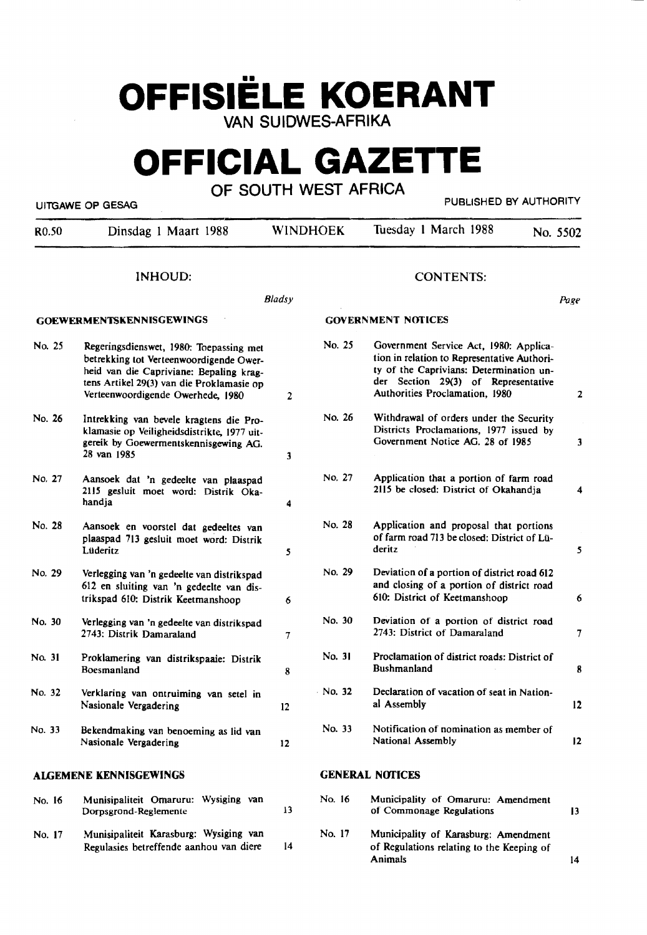# **OFFISIELE KOERANT**  VAN SUIDWES-AFRIKA

# **OFFICIAL GAZETTE**

### OF SOUTH WEST AFRICA

UITGAWE OP GESAG **PUBLISHED BY AUTHORITY** 

| R <sub>0.50</sub> | Dinsdag 1 Maart 1988                                                                                                                                                                                            |                 | <b>WINDHOEK</b>           | Tuesday 1 March 1988                                                                                                                                                                                      |  | No. 5502       |
|-------------------|-----------------------------------------------------------------------------------------------------------------------------------------------------------------------------------------------------------------|-----------------|---------------------------|-----------------------------------------------------------------------------------------------------------------------------------------------------------------------------------------------------------|--|----------------|
|                   | INHOUD:                                                                                                                                                                                                         |                 |                           | <b>CONTENTS:</b>                                                                                                                                                                                          |  |                |
|                   |                                                                                                                                                                                                                 | Bladsy          |                           |                                                                                                                                                                                                           |  | Page           |
|                   | <b>GOEWERMENTSKENNISGEWINGS</b>                                                                                                                                                                                 |                 | <b>GOVERNMENT NOTICES</b> |                                                                                                                                                                                                           |  |                |
| No. 25            | Regeringsdienswet, 1980: Toepassing met<br>betrekking tot Verteenwoordigende Ower-<br>heid van die Capriviane: Bepaling krag-<br>tens Artikel 29(3) van die Proklamasie op<br>Verteenwoordigende Owerhede, 1980 | 2               | No. 25                    | Government Service Act, 1980: Applica-<br>tion in relation to Representative Authori-<br>ty of the Caprivians: Determination un-<br>der Section 29(3) of Representative<br>Authorities Proclamation, 1980 |  | $\mathbf{2}$   |
| No. 26            | Intrekking van bevele kragtens die Pro-<br>klamasie op Veiligheidsdistrikte, 1977 uit-<br>gereik by Goewermentskennisgewing AG.<br>28 van 1985                                                                  | $\mathbf{3}$    | No. 26                    | Withdrawal of orders under the Security<br>Districts Proclamations, 1977 issued by<br>Government Notice AG. 28 of 1985                                                                                    |  | 3              |
| No. 27            | Aansoek dat 'n gedeelte van plaaspad<br>2115 gesluit moet word: Distrik Oka-<br>handja                                                                                                                          | 4               | No. 27                    | Application that a portion of farm road<br>2115 be closed: District of Okahandja                                                                                                                          |  | 4              |
| No. 28            | Aansoek en voorstel dat gedeeltes van<br>plaaspad 713 gesluit moet word: Distrik<br>Lüderitz                                                                                                                    | 5               | No. 28                    | Application and proposal that portions<br>of farm road 713 be closed: District of Lü-<br>deritz                                                                                                           |  | 5 <sub>1</sub> |
| No. 29            | Verlegging van 'n gedeelte van distrikspad<br>612 en sluiting van 'n gedeelte van dis-<br>trikspad 610: Distrik Keetmanshoop                                                                                    | 6               | No. 29                    | Deviation of a portion of district road 612<br>and closing of a portion of district road<br>610: District of Keetmanshoop                                                                                 |  | 6              |
| No. 30            | Verlegging van 'n gedeelte van distrikspad<br>2743: Distrik Damaraland                                                                                                                                          | 7               | No. 30                    | Deviation of a portion of district road<br>2743: District of Damaraland                                                                                                                                   |  | $\overline{7}$ |
| No. 31            | No. 31<br>Proclamation of district roads: District of<br>Proklamering van distrikspaaie: Distrik<br><b>Bushmanland</b><br>Boesmanland<br>8                                                                      |                 |                           | 8                                                                                                                                                                                                         |  |                |
| No. 32            | Verklaring van ontruiming van setel in<br>Nasionale Vergadering                                                                                                                                                 | 12              | $\cdot$ No. 32            | Declaration of vacation of seat in Nation-<br>al Assembly                                                                                                                                                 |  | 12             |
| No. 33            | Bekendmaking van benoeming as lid van<br>Nasionale Vergadering                                                                                                                                                  | 12              | No. 33                    | Notification of nomination as member of<br>National Assembly                                                                                                                                              |  | $\mathbf{12}$  |
|                   | <b>ALGEMENE KENNISGEWINGS</b>                                                                                                                                                                                   |                 |                           | <b>GENERAL NOTICES</b>                                                                                                                                                                                    |  |                |
| No. 16            | Munisipaliteit Omaruru: Wysiging van<br>Dorpsgrond-Reglemente                                                                                                                                                   | 13              | No. 16                    | Municipality of Omaruru: Amendment<br>of Commonage Regulations                                                                                                                                            |  | 13             |
| No. 17            | Munisipaliteit Karasburg: Wysiging van<br>Regulasies betreffende aanhou van diere                                                                                                                               | $\overline{14}$ | No. 17                    | Municipality of Karasburg: Amendment<br>of Regulations relating to the Keeping of                                                                                                                         |  |                |

Animals

14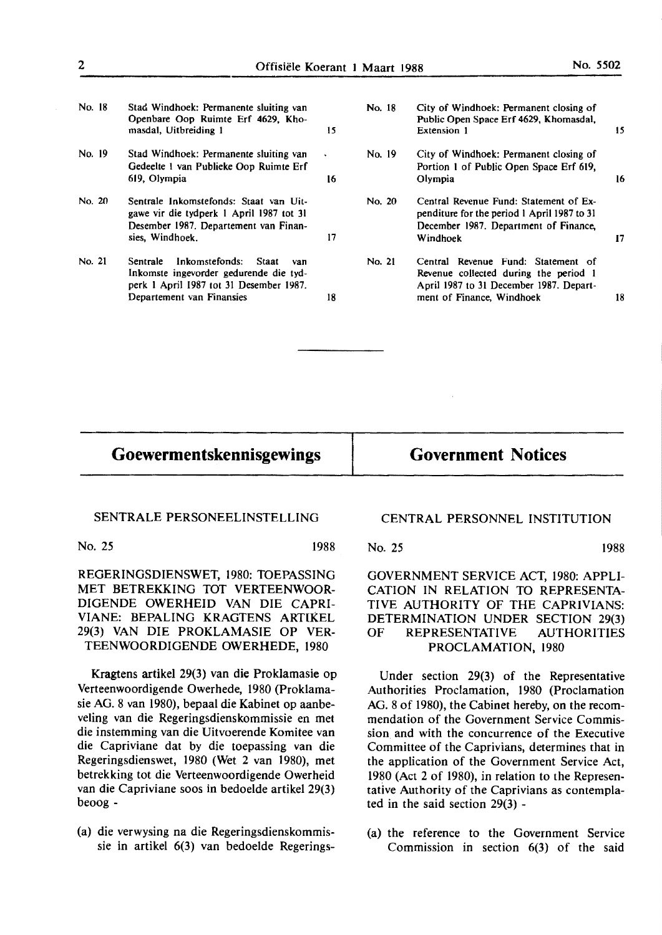- No. 18 Stad Windhoek: Permanente sluiting van Openbare Oop Ruimte Erf **4629,** Khomasdal, Uitbreiding 1 15
- No. 19 Stad Windhoek: Permanente sluiting van Gedeelte I van Publieke Oop Ruimte Erf 619. Olympia 16
- No. 20 Sentrale Inkomstefonds: Staat van Uitgawe vir die tydperk I April 1987 tot 31 Desember 1987. Departement van Finansies, Windhoek. 17
- No. 21 Sentrale Inkomstefonds: Staat van lnkomste ingevorder gedurende die tydperk I April 1987 tot 31 Desember 1987. Departement van Finansies 18

| No. 18 | City of Windhoek: Permanent closing of<br>Public Open Space Erf 4629, Khomasdal,<br>Extension 1                                            | 15 |
|--------|--------------------------------------------------------------------------------------------------------------------------------------------|----|
| No. 19 | City of Windhoek: Permanent closing of<br>Portion 1 of Public Open Space Erf 619,<br>Olympia                                               | 16 |
| No. 20 | Central Revenue Fund: Statement of Ex-<br>penditure for the period 1 April 1987 to 31<br>December 1987. Department of Finance,<br>Windhoek | 17 |
| No. 21 | Central Revenue Fund: Statement of<br>Revenue collected during the period 1<br>April 1987 to 31 December 1987. Depart-                     |    |
|        | ment of Finance, Windhoek                                                                                                                  | 18 |

### **Goewermentskennisgewings**

**Government Notices** 

#### SENTRALE PERSONEELINSTELLING

No. 25 1988

REGERINGSDIENSWET, 1980: TOEPASSING **MET BETREKKING TOT VERTEENWOOR-**DIGENDE OWERHEID VAN DIE CAPRI-**VIANE: BEPALING KRAGTENS ARTIKEL**  29(3) VAN DIE PROKLAMASIE OP VER-TEENWOORDIGENDE OWERHEDE, 1980

Kragtens artikel 29(3) van die Proklamasie op Verteenwoordigende Owerhede, 1980 (Proklamasie AG. 8 van 1980), bepaal die Kabinet op aanbeveling van die Regeringsdienskommissie en met die instemming van die Uitvoerende Komitee van die Capriviane dat by die toepassing van die Regeringsdienswet, 1980 (Wet 2 van 1980), met betrekking tot die Verteenwoordigende Owerheid van die Capriviane soos **in** bedoelde artikel 29(3) beoog -

(a) die verwysing na die Regeringsdienskommissie in artikel 6(3) van bedoelde Regerings-

#### **CENTRAL PERSONNEL INSTITUTION**

No. 25 1988

GOVERNMENT SERVICE ACT, 1980: APPLI-CATION IN RELATION TO REPRESENTA-TIVE AUTHORITY OF THE CAPRIVIANS: DETERMINATION UNDER SECTION 29(3) OF REPRESENTATIVE AUTHORITIES **PROCLAMATION,** 1980

Under section 29(3) of the Representative Authorities Proclamation, 1980 (Proclamation AG. 8 of 1980), the Cabinet hereby, on the recommendation of the Government Service Commission and with the concurrence of the Executive Committee of the Caprivians, determines that in the application of the Government Service Act, 1980 (Act 2 of 1980), in relation to the Representative Authority of the Caprivians as contemplated in the said section 29(3) -

(a) the reference to the Government Service Commission in section 6(3) of the said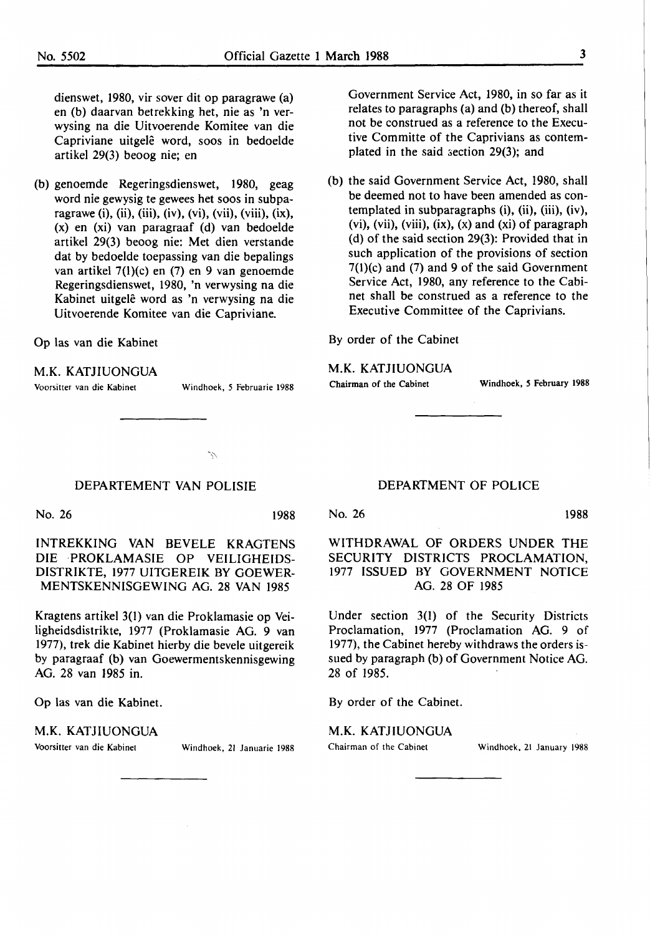dienswet, 1980, vir sover dit op paragrawe (a) en (b) daarvan betrekking het, nie as 'n verwysing na die Uitvoerende Komitee van die Capriviane uitgelê word, soos in bedoelde artikel 29(3) beoog nie; en

(b) genoemde Regeringsdienswet, 1980, geag word nie gewysig te gewees het soos in subparagrawe (i), (ii), (iii), (iv), (vi), (vii), (viii), (ix), (x) en (xi) van paragraaf (d) van bedoelde artikel 29(3) beoog nie: Met dien verstande dat by bedoelde toepassing van die bepalings van artikel 7(l)(c) en (7) en 9 van genoemde Regeringsdienswet, 1980, 'n verwysing na die Kabinet uitgele word as 'n verwysing na die Uitvoerende Komitee van die Capriviane.

Op las van die Kabinet

**M.K.** KATJIUONGUA

Voorsitter van die Kabinet Windhoek, *5* Februarie 1988

Ž,

- Government Service Act, 1980, in so far as it relates to paragraphs (a) and (b) thereof, shall not be construed as a reference to the Executive Committe of the Caprivians as contemplated in the said section  $29(3)$ ; and
- (b) the said Government Service Act, 1980, shall be deemed not to have been amended as contemplated in subparagraphs (i), (ii), (iii), (iv), (vi), (vii), (viii), (ix), (x) and (xi) of paragraph ( d) of the said section 29(3): Provided that in such application of the provisions of section 7(1)(c) and (7) and 9 of the said Government Service Act, 1980, any reference to the Cabinet shall be construed as a reference to the Executive Committee of the Caprivians.

By order of the Cabinet

**M.K.** KATJIUONGUA

Chairman of the Cabinet Windhoek, *S* February **1988** 

#### DEPARTEMENT VAN POLISIE

No. 26 1988

INTREKKING VAN BEVELE KRAGTENS DIE PROKLAMASIE OP VEILIGHEIDS-DISTRIKTE, 1977 UITGEREIK BY GOEWER-MENTSKENNISGEWING AG. 28 VAN 1985

Kragtens artikel 3(1) van die Proklamasie op Veiligheidsdistrikte, 1977 (Proklamasie AG. 9 van 1977), trek die Kabinet hierby die bevele uitgereik by paragraaf (b) van Goewermentskennisgewing AG. 28 van 1985 in.

Op las van die Kabinet.

#### **M.K.** KATJIUONGUA

Voorsitter van die Kabinet Windhoek, 21 Januarie 1988

#### DEPARTMENT OF POLICE

No. 26 1988

WITHDRAWAL OF ORDERS UNDER THE SECURITY DISTRICTS PROCLAMATION, 1977 ISSUED BY GOVERNMENT NOTICE AG. 28 OF 1985

Under section 3(1) of the Security Districts Proclamation, 1977 (Proclamation AG. 9 of 1977), the Cabinet hereby withdraws the orders issued by paragraph (b) of Government Notice AG. 28 of 1985.

By order of the Cabinet.

**M.K.** KATJIUONGUA

Chairman of the Cabinet Windhoek, 21 January 1988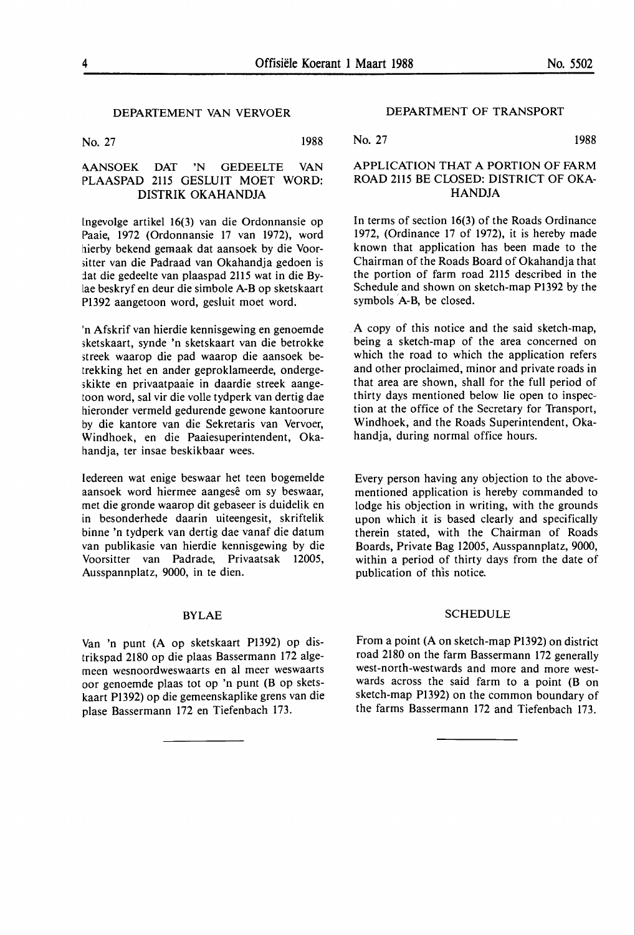#### DEPARTEMENT VAN VERVOER

No. 27 1988

#### .\ANSOEK DAT 'N GEDEELTE VAN PLAASPAD 2115 GESLUIT MOET WORD: DISTRIK OKAHANDJA

[ngevolge artikel 16(3) van die Ordonnansie op Paaie, 1972 (Ordonnansie 17 van 1972), word hierby bekend gemaak dat aansoek by die Voor- ;itter van die Padraad van Okahandja gedoen is fat die gedeelte van plaaspad 2115 wat in die Bylae beskryf en deur die simbole A-Bop sketskaart Pl392 aangetoon word, gesluit moet word.

'n Afskrif van hierdie kennisgewing en genoemde ;ketskaart, synde 'n sketskaart van die betrokke meek waarop die pad waarop die aansoek betrekking het en ander geproklameerde, onderge- ;kikte en privaatpaaie in daardie streek aangetoon word, sal vir die volle tydperk van dertig dae hieronder vermeld gedurende gewone kantoorure by die kantore van die Sekretaris van Vervoer, Windhoek, en die Paaiesuperintendent, Okahandja, ter insae beskikbaar wees.

ledereen wat enige beswaar het teen bogemelde aansoek word hiermee aangesê om sy beswaar, met die gronde waarop dit gebaseer is duidelik en in besonderhede daarin uiteengesit, skriftelik binne 'n tydperk van dertig dae vanaf die datum van publikasie van hierdie kennisgewing by die Voorsitter van Padrade, Privaatsak 12005, Ausspannplatz, 9000, in te dien.

#### BYLAE

Van 'n punt (A op sketskaart Pl392) op distrikspad 2180 op die plaas Bassermann 172 algemeen wesnoordweswaarts en al meer weswaarts oor genoemde plaas tot op 'n punt (B op sketskaart Pl392) op die gemeenskaplike grens van die plase Bassermann 172 en Tiefenbach 173.

#### DEPARTMENT OF TRANSPORT

No. 27 1988

#### **APPLICATION THAT A PORTION** OF **FARM**  ROAD 2115 BE CLOSED: DISTRICT OF OKA-**HANDJA**

In terms of section 16(3) of the Roads Ordinance 1972, (Ordinance 17 of 1972), it is hereby made known that application has been made to the Chairman of the Roads Board of Okahandja that the portion of farm road 2115 described in the Schedule and shown on sketch-map P1392 by the symbols A-B, be closed.

A copy of this notice and the said sketch-map, being a sketch-map of the area concerned on which the road to which the application refers and other proclaimed, minor and private roads in that area are shown, shall for the full period of thirty days mentioned below lie open to inspection at the office of the Secretary for Transport, Windhoek, and the Roads Superintendent, Okahandja, during normal office hours.

Every person having any objection to the abovementioned application is hereby commanded to lodge his objection in writing, with the grounds upon which it is based clearly and specifically therein stated, with the Chairman of Roads Boards, Private Bag 12005, Ausspannplatz, 9000, within a period of thirty days from the date of publication of this notice.

#### SCHEDULE

From a point (A on sketch-map Pl392) on district road 2180 on the farm Bassermann 172 generally west-north-westwards and more and more westwards across the said farm to a point (B on sketch-map Pl392) on the common boundary of the farms Bassermann 172 and Tiefenbach 173.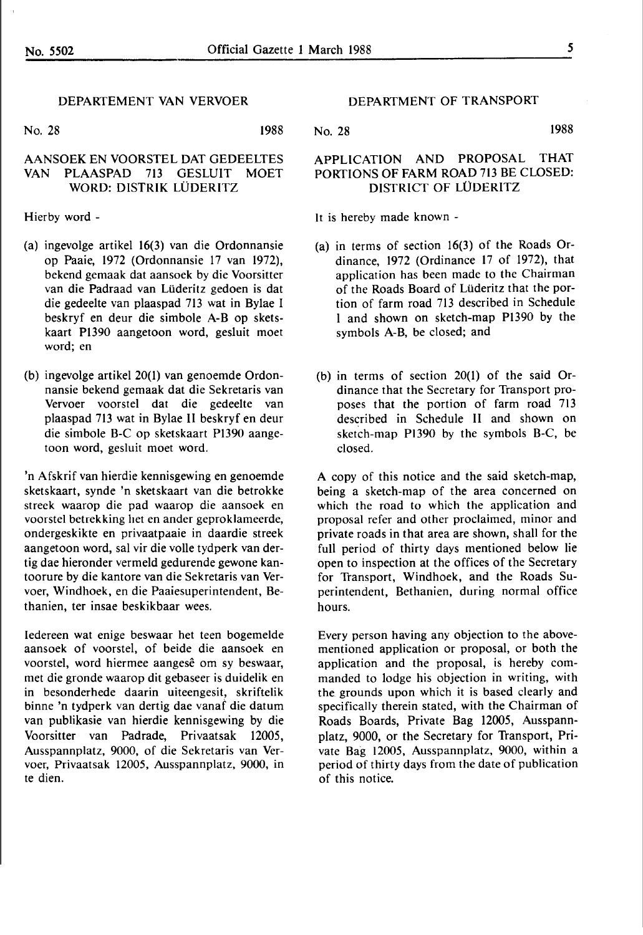#### DEPARTEMENT VAN VERVOER

No. 28 1988

#### AANSOEK EN VOORSTEL DAT GEDEELTES VAN PLAASPAD 713 GESLUIT MOET WORD: DISTRIK LÜDERITZ

Hierby word -

- (a) ingevolge artikel 16(3) van die Ordonnansie op Paaie, 1972 (Ordonnansie 17 van 1972), bekend gemaak dat aansoek by die Voorsitter van die Padraad van Liideritz gedoen is dat die gedeelte van plaaspad 713 wat in Bylae I beskryf en deur die simbole A-B op sketskaart Pl390 aangetoon word, gesluit moet word; en
- (b) ingevolge artikel 20(1) van genoemde Ordonnansie bekend gemaak dat die Sekretaris van Vervoer voorstel dat die gedeelte van plaaspad 713 wat in Bylae ll beskryf en deur die simbole B-C op sketskaart Pl390 aangetoon word, gesluit moet word.

'n Afskrif van hierdie kennisgewing en genoemde sketskaart, synde 'n sketskaart van die betrokke streek waarop die pad waarop die aansoek en voorstel betrekking het en ander geproklameerde, ondergeskikte en privaatpaaie in daardie streek aangetoon word, sal vir die volle tydperk van dertig dae hieronder vermeld gedurende gewone kantoorure by die kantore van die Sekretaris van Vervoer, Windhoek, en die Paaiesuperintendent, Bethanien, ter insae beskikbaar wees.

Iedereen wat enige beswaar bet teen bogemelde aansoek of voorstel, of beide die aansoek en voorstel, word hiermee aangesê om sy beswaar, met die gronde waarop dit gebaseer is duidelik en in besonderhede daarin uiteengesit, skriftelik binne 'n tydperk van dertig dae vanaf die datum van publikasie van hierdie kennisgewing by die Voorsitter van Padrade, Privaatsak **1200S,**  Ausspannplatz, 9000, of die Sekretaris van Vervoer, Privaatsak 12005, Ausspannplatz, 9000, in te dien.

DEPARTMENT OF TRANSPORT

No. 28 1988

#### APPLICATION AND PROPOSAL THAT PORTIONS OF FARM ROAD 713 BE CLOSED: DISTRICT OF LÜDERITZ

It is hereby made known -

- (a) in terms of section 16(3) of the Roads Ordinance, 1972 (Ordinance 17 of 1972), that application has been made to the Chairman of *the* Roads Board of Liideritz that the portion of farm road 713 described in Schedule l and shown on sketch-map Pl390 by the symbols A-B, be closed; and
- (b) in terms of section 20(1) of the said Ordinance that the Secretary for Transport proposes that the portion of farm road 713 described in Schedule ll and shown on sketch-map PI390 by the symbols B-C, be closed.

A copy of this notice and the said sketch-map, being a sketch-map of the area concerned on which the road to which the application and proposal refer and other proclaimed, minor and private roads in that area are shown, shall for the full period of thirty days mentioned below lie open to inspection at the offices of the Secretary for Transport, Windhoek, and the Roads Superintendent, Bethanien, during normal office hours.

Every person having any objection to the abovementioned application or proposal, or both the application and the proposal, is hereby commanded to lodge his objection in writing, with the. grounds upon which it is based clearly and specifically therein stated, with *the* Chairman of Roads Boards, Private Bag 1200S, Ausspannplatz, 9000, or the Secretary for Transport, Private Bag 12005, Ausspannplatz, 9000, within a period of thirty days from the date of publication of this notice.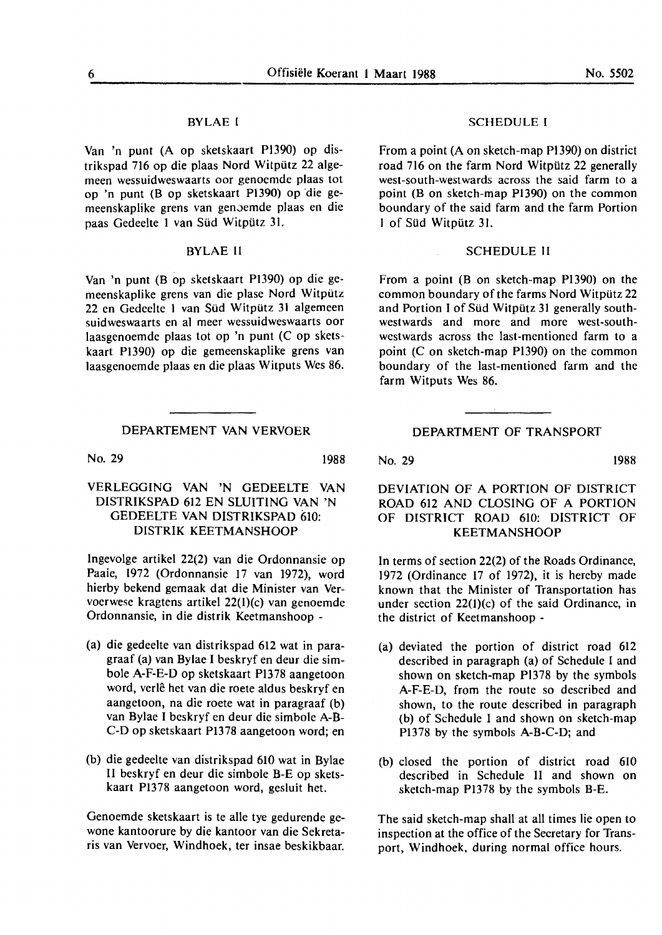#### BYLAE I

Van 'n punt (A op sketskaart P1390) op distrikspad 716 op die plaas Nord Witpütz 22 algemeen wessuidweswaarts oor genoemde plaas tot op 'n punt (B op sketskaart Pl390) op 'die gemeenskaplike grens van genoemde plaas en die paas Gedeelte 1 van Süd Witpütz 31.

#### BYLAE II

Van 'n punt (B op sketskaart Pl390) op die gemeenskaplike grens van die plase Nord Witpütz 22 en Gedeelte 1 van Süd Witpütz 31 algemeen suidweswaarts en al meer wessuidweswaarts oor laasgenoemde plaas tot op 'n punt (C op sketskaart PI390) op die gemeenskaplike grens van laasgenoemde plaas en die plaas Witputs Wes 86.

#### DEPARTEMENT VAN VERVOER

No. 29 1988

#### VERLEGGING **VAN 'N** GEDEELTE VAN DISTRIKSPAD 612 EN SLUITING VAN 'N GEDEELTE VAN DISTRIKSPAD 610: DISTRIK KEETMANSHOOP

lngevolge artikel 22(2) van die Ordonnansie op Paaie, 1972 (Ordonnansie 17 van 1972), word hierby bekend gemaak dat die Minister van Vervoerwese kragtens artikel 22(I)(c) van genoemde Ordonnansie, in die distrik Keetmanshoop -

- (a) die gedeelte van distrikspad 612 wat in paragraaf (a) van Bylae I beskryf en deur die simbole A-F-E-D op sketskaart P1378 aangetoon word, verlê het van die roete aldus beskryf en aangetoon, na die roete wat in paragraaf (b) van Bylae I beskryf en deur die simbole A-B-C-D op sketskaart Pl378 aangetoon word; en
- (b) die gedeelte van distrikspad 610 wat in Bylae II beskryf en deur die simbole B-E op sketskaart Pl378 aangetoon word, gesluit het.

Genoemde sketskaart is te alle tye gedurende gewone kantoorure by die kantoor van die Sekretaris van Vervoer, Windhoek, ter insae beskikbaar.

#### SCHEDULE I

From a point (A on sketch-map Pl 390) on district road 716 on the farm Nord Witpiltz 22 generally west-south-westwards across the said farm to a point (B on sketch-map Pl 390) on the common boundary of the said farm and the farm Portion I of Sild Witpiitz 31.

#### SCHEDULE II

From a point (B on sketch-map Pl390) on the common boundary of the farms Nord Witpütz 22 and Portion I of Süd Witpütz 31 generally southwestwards and more and more west-southwestwards across the last-mentioned farm to a point (C on sketch-map Pl390) on the common boundary of the last-mentioned farm and the farm Witputs Wes 86.

#### DEPARTMENT OF TRANSPORT

No. 29 1988

#### DEVIATION OF A PORTION OF DISTRICT ROAD 612 AND CLOSING OF A PORTION OF DISTRICT ROAD 610: DISTRICT OF KEETMANSHOOP

In terms of section 22(2) of the Roads Ordinance, 1972 (Ordinance 17 of 1972), it is hereby made known that the Minister of Transportation has under section 22(1)(c) of the said Ordinance, in the district of Keetmanshoop -

- (a) deviated the portion of district road 612 described in paragraph (a) of Schedule I and shown on sketch-map Pl378 by the symbols A-F-E-D, from the route so described and shown, to the route described in paragraph (b) of Schedule I and shown on sketch-map Pl378 by the symbols A-B-C-D; and
- (b) closed the portion of district road 6IO described in Schedule II and shown on sketch-map Pl378 by the symbols B-E.

The said sketch-map shall at all times lie open to inspection **at** the office of the Secretary for Transport, Windhoek, during normal office hours.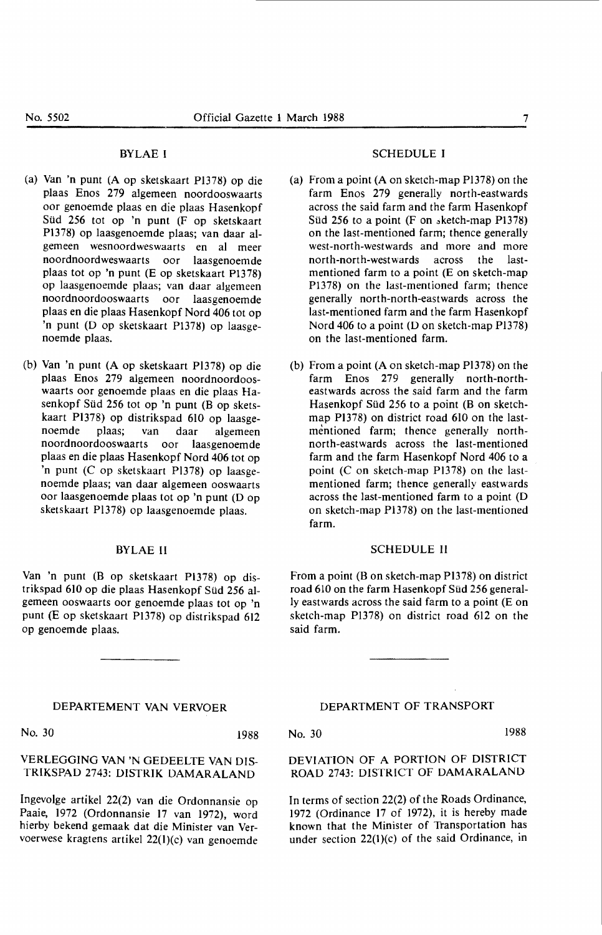#### BYLAE I

- (a) Van 'n punt (A op sketskaart Pl378) op die plaas Enos 279 algemeen noordooswaarts oor genoemde plaas en die plaas Hasenkopf Süd 256 tot op 'n punt (F op sketskaart Pl378) op laasgenoemde plaas; van daar algemeen wesnoordweswaarts en al meer noordnoordweswaarts oor laasgenoemde plaas tot op 'n punt (E op sketskaart Pl378) op laasgenoemde plaas; van daar algemeen noordnoordooswaarts oor laasgenoemde plaas en die plaas Hasenkopf Nord 406 tot op 'n punt (D op sketskaart Pl378) op laasgenoemde plaas.
- (b) Van 'n punt (A op sketskaart Pl378) op die plaas Enos 279 algemeen noordnoordooswaarts oor genoemde plaas en die plaas Hasenkopf Siid 256 tot op 'n punt (B op sketskaart Pl378) op distrikspad 610 op laasgenoemde plaas; van daar algemeen noordnoordooswaarts oor laasgenoemde plaas en die plaas Hasenkopf Nord 406 tot op 'n punt (C op sketskaart Pl378) op laasgenoemde plaas; van daar algemeen ooswaarts oor laasgenoemde plaas tot op 'n punt (D op sketskaart Pl378) op laasgenoemde plaas.

#### BYLAE II

Van 'n punt (B op sketskaart Pl378) op distrikspad 610 op die plaas Hasenkopf Sild 256 algemeen ooswaarts oor genoemde plaas tot op 'n punt (E op sketskaart Pl378) op distrikspad 612 op genoemde plaas.

#### DEPARTEMENT VAN VERVOER

No. 30 1988

#### VERLEGGING **VAN 'N** GEDEELTE **VAN DIS-TRIKSPAD** 2743: **DISTRIK DAMAR.ALAND**

lngevolge artikel 22(2) van die Ordonnansie op Paaie, 1972 (Ordonnansie 17 van 1972), word hierby bekend gemaak dat die Minister van Vervoerwese kragtens artikel 22(1)(c) van genoemde

#### SCHEDULE I

- (a) From a point (A on sketch-map Pl378) on the farm Enos 279 generally north-eastwards across the said farm and the farm Hasenkopf Süd 256 to a point  $(F \text{ on } sketch-map P1378)$ on the last-mentioned farm; thence generally west-north-westwards and more and more north-north-westwards across the lastmentioned farm to a point (E on sketch-map Pl378) on the last-mentioned farm; thence generally north-north-eastwards across the last-mentioned farm and the farm Hasenkopf Nord 406 to a point (D on sketch-map Pl378) on the last-mentioned farm.
- (b) From a point (A on sketch-map Pl378) on the farm Enos 279 generally north-northeastwards across the said farm and the farm Hasenkopf Süd 256 to a point (B on sketchmap P1378) on district road 610 on the lastmentioned farm; thence generally northnorth-eastwards across the last-mentioned farm and the farm Hasenkopf Nord 406 to a point (C on sketch-map PI378) on the lastmentioned farm; thence generally eastwards across the last-mentioned farm to a point (D on sketch-map Pl378) on the last-mentioned farm.

#### SCHEDULE II

From a point (B on sketch-map P1378) on district road 610 on the farm Hasenkopf Süd 256 generally eastwards across the said farm to a point (E on sketch-map Pl378) on district road 612 on the said farm.

#### DEPARTMENT OF TRANSPORT

No. 30 1988

DEVIATION OF A PORTION OF DISTRICT ROAD 2743: DISTRICT OF DAMARALAND

In terms of section 22(2) of the Roads Ordinance, 1972 (Ordinance 17 of 1972), it is hereby made known that the Minister of Transportation has under section 22(l)(c) of the said Ordinance, in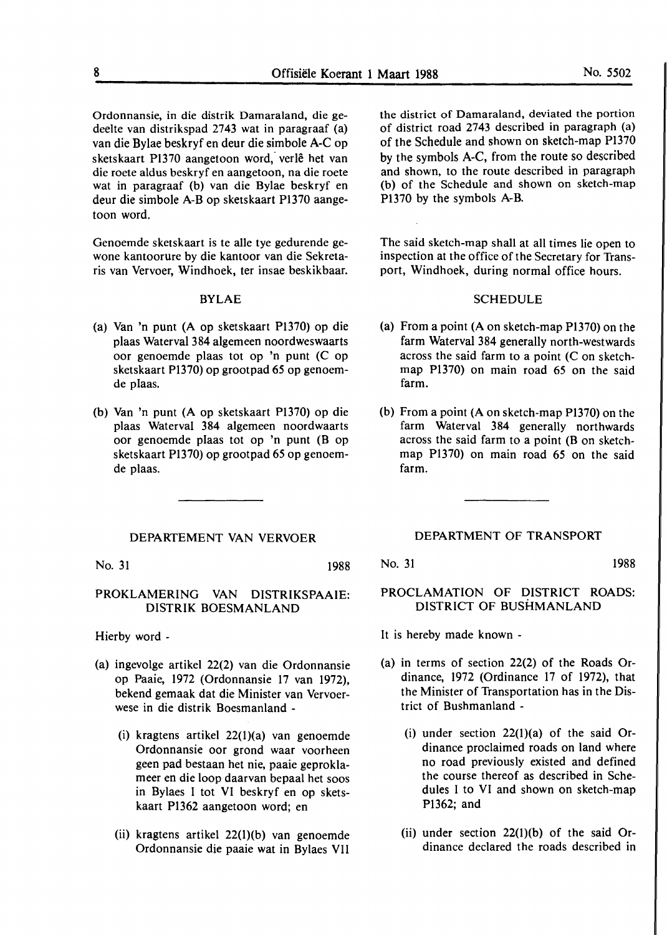Ordonnansie, in die distrik Damaraland, die gedeelte van distrikspad 2743 wat in paragraaf (a) van die Bylae beskryf en deur die simbole A-C op sketskaart P1370 aangetoon word, verlê het van die roete aldus beskryf en aangetoon, na die roete wat **in** paragraaf (b) van die **Bylae** beskryf en deur die simbole A-Bop sketskaart Pl370 aangetoon word.

Genoemde sketskaart is te alle tye gedurende gewone kantoorure by die kantoor van die Sekretaris van Vervoer, Windhoek, ter insae beskikbaar.

#### **BYLAE**

- (a) Van 'n punt (A op sketskaart P1370) op die plaas Waterval 384 algemeen noordweswaarts oor genoemde plaas tot op 'n punt (C op sketskaart P1370) op grootpad **65** op genoemde plaas.
- (b) Van 'n punt (A op sketskaart P1370) op die plaas Waterval 384 algemeen noordwaarts oor genoemde plaas tot op 'n punt (B op sketskaart P1370) op grootpad *65* op genoemde plaas.

#### DEPARTEMENT VAN VERVOER

No. 31 1988

#### **PROKLAMERING VAN DISTRIKSPAAIE: DISTRIK BOESMANLAND**

Hierby word -

- (a) ingevolge artikel 22(2) van die Ordonnansie op Paaie, 1972 (Ordonnansie 17 van 1972), bekend gemaak dat die Minister van Vervoerwese in die distrik Boesmanland -
	- (i) kragtens artikel 22(l)(a) van genoemde Ordonnansie oor grond waar voorheen geen pad bestaan het nie, paaie geproklameer en die loop daarvan bepaal het soos in Bylaes I tot VI beskryf en op sketskaart Pl362 aangetoon word; en
	- (ii) kragtens artikel 22(l)(b) van genoemde Ordonnansie die paaie wat in Bylaes VII

the district of Damaraland, deviated the portion of district road 2743 described in paragraph (a) of the Schedule and shown on sketch-map Pl370 by the symbols A-C, from the route so described and shown, to the route described **in** paragraph (b) of the Schedule and shown on sketch-map Pl370 by the symbols **A-B.** 

The said sketch-map shall at all times lie open to inspection at the office of the Secretary for Transport, Windhoek, during normal office hours.

#### SCHEDULE

- **(a)** From **a** point (A on sketch-map Pl370) on the farm Waterval 384 generally north-westwards across the said farm to a point (C on sketchmap Pl370) on main road 65 on the said farm.
- (b) From a point **(A** on sketch-map Pl370) on the farm Waterval 384 generally northwards across the said farm to **a** point **(B** on sketchmap Pl370) on main road *65* on the said farm.

#### DEPARTMENT OF **TRANSPORT**

No. 31 1988

#### PROCLAMATION OF DISTRICT ROADS: DISTRICT OF BUSHMANLAND

It is hereby made known -

- (a) in terms of section 22(2) of the Roads Ordinance, 1972 (Ordinance 17 of 1972), that the Minister of Transportation has in the District of Bushmanland -
	- (i) under section  $22(1)(a)$  of the said Ordinance proclaimed roads on land where no road previously existed and defined the course thereof as described in Schedules I to VI and shown on sketch-map P1362; and
	- (ii) under section  $22(1)(b)$  of the said Ordinance declared the roads described in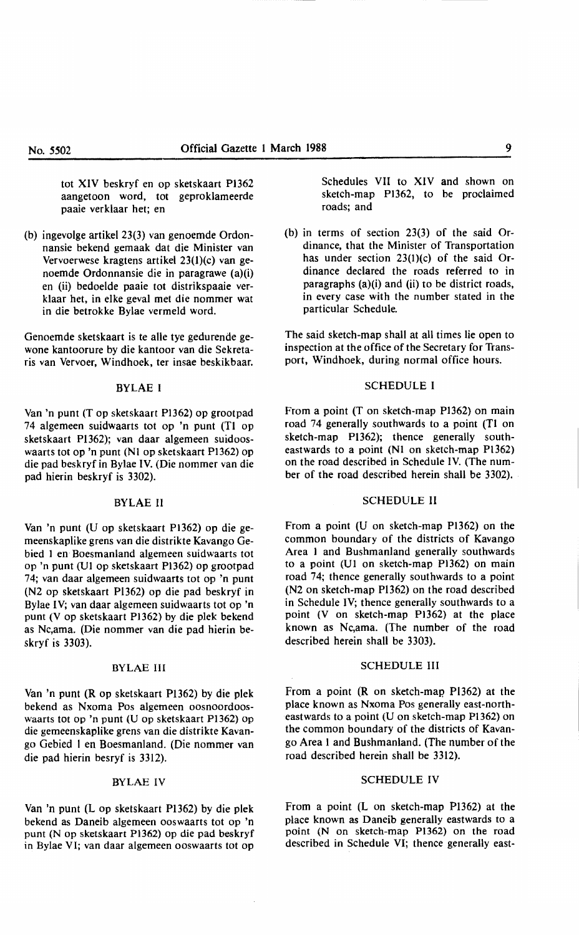tot XIV beskryf en op sketskaart Pl362 aangetoon word, tot geproklameerde paaie verklaar het; en

(b) ingevolge artikel 23(3) van genoemde Ordonnansie bekend gemaak dat die Minister van Vervoerwese kragtens artikel 23(1)(c) van genoemde Ordonnansie die in paragrawe (a)(i) en (ii) bedoelde paaie tot distrikspaaie verklaar het, in elke geval met die nommer wat in die betrokke Bylae vermeld word.

Genoemde sketskaart is te alle tye gedurende gewone kantoorure by die kantoor van die Sekretaris van Vervoer, Windhoek, ter insae beskikbaar.

#### BYLAE I

Van 'n punt (T op sketskaart P1362) op grootpad 74 algemeen suidwaarts tot op 'n punt (Tl op sketskaart Pl 362); van daar algemeen suidooswaarts tot op 'n punt (N1 op sketskaart P1362) op die pad beskryf in Bylae IV. (Die nommer van die pad hierin beskryf is 3302).

#### BYLAE II

Van 'n punt (U op sketskaart Pl362) op die gemeenskaplike grens van die distrikte Kavango Gebied I en Boesmanland algemeen suidwaarts tot op 'n punt (Ul op sketskaart Pl362) op grootpad 74; van daar algemeen suidwaarts tot op 'n punt (N2 op sketskaart Pl362) op die pad beskryf in Bylae IV; van daar algemeen suidwaarts tot op 'n punt (V op sketskaart P1362) by die plek bekend as Nc,ama. (Die nommer van die pad hierin beskryf is 3303).

#### BYLAE III

Van 'n punt (R op sketskaart P1362) by die plek bekend as Nxoma Pos algemeen oosnoordooswaarts tot op 'n punt (U op sketskaart Pl362) op die gemeenskaplike grens van die distrikte Kavango Gebied I en Boesmanland. (Die nommer van die pad hierin besryf is 3312).

#### BYLAEIV

Van 'n punt (L op sketskaart Pl362) by die plek bekend as Daneib algemeen ooswaarts tot op 'n punt (N op sketskaart P1362) op die pad beskryf in Bylae VI; van daar algemeen ooswaarts tot op Schedules VII to XIV and shown on sketch-map Pl362, to he proclaimed roads; and

(b) in terms of section 23(3) of the said Ordinance, that the Minister of Transportation has under section  $23(1)(c)$  of the said Ordinance declared the roads referred to in paragraphs (a)(i) and (ii) to be district roads, in every case with the number stated in the particular Schedule.

The said sketch-map shall at all times lie open to inspection at the office of the Secretary for Transport, Windhoek, during normal office hours.

#### SCHEDULE I

From a point (T on sketch-map Pl362) on main road 74 generally southwards to a point (Tl on sketch-map Pl362); thence generally southeastwards to a point (NI on sketch-map Pl 362) on the road described in Schedule IV. (The number of the road described herein shall be 3302).

#### SCHEDULE II

From a point (U on sketch-map Pl362) on the common boundary of the districts of Kavango Area I and Bushmanland generally southwards to a point (Ul on sketch-map Pl362) on main road 74; thence generally southwards to a point (N2 on sketch-map Pl362) on the road described in Schedule IV; thence generally southwards to a point (V on sketch-map P1362) at the place known as Nc,ama. (The number of the road described herein shall be 3303).

#### SCHEDULE Ill

From a point  $(R$  on sketch-map  $P1362$ ) at the place known as Nxoma Pos generally east-northeastwards to a point (U on sketch-map Pl362) on the common boundary of the districts of Kavango Area I and Bushmanland. (The number of the road described herein shall be 3312).

#### SCHEDULE IV

From a point (L on sketch-map Pl362) at the place known as Daneib generally eastwards to a point (N on sketch-map Pl362) on the road described in Schedule VI; thence generally east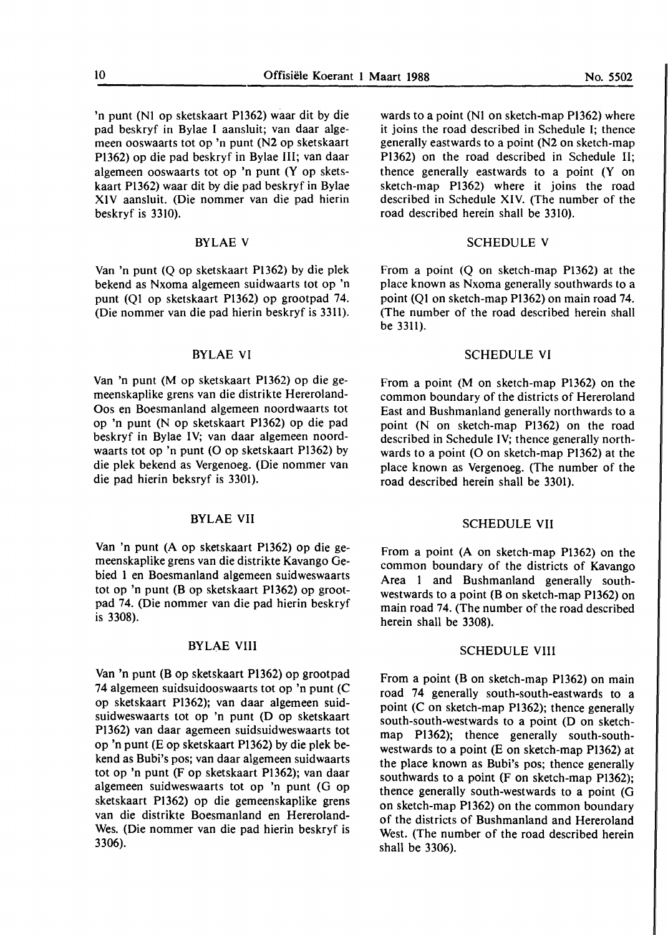'n punt (NI op sketskaart P1362) waar dit by die pad beskryf in Bylae I aansluit; van daar algemeen ooswaarts tot op 'n punt (N2 op sketskaart P1362) op die pad beskryf in Bylae III; van daar algemeen ooswaarts tot op 'n punt (Y op sketskaart Pl362) waar dit by die pad beskryf in Bylae XIV aansluit. (Die nommer van die pad hierin beskryf is 3310).

#### BYLAE V

Van 'n punt (Q op sketskaart Pl362) by die plek bekend as Nxoma algemeen suidwaarts tot op 'n punt (QI op sketskaart P1362) op grootpad 74. (Die nommer van die pad hierin beskryf is 3311).

#### BYLAE VI

Van 'n punt (M op sketskaart P1362) op die gemeenskaplike grens van die distrikte Hereroland-Oos en Boesmanland algemeen noordwaarts tot op 'n punt (N op sketskaart P1362) op die pad beskryf in Bylae IV; van daar algemeen noordwaarts tot op 'n punt (O op sketskaart Pl362) by die plek bekend as Vergenoeg. (Die nommer van die pad hierin beksryf is 3301).

#### **BYLAE VII**

Van 'n punt (A op sketskaart PI362) op die gemeenskaplike grens van die distrikte Kavango Gebied **1** en Boesmanland algemeen suidweswaarts tot op 'n punt (B op sketskaart Pl362) op grootpad 74. (Die nommer van die pad hierin beskryf is 3308).

#### **BYLAE VIII**

Van 'n punt (B op sketskaart P1362) op grootpad 74 algemeen suidsuidooswaarts tot op 'n punt (C op sketskaart P1362); van daar algemeen suidsuidweswaarts tot op 'n punt **(D op** sketskaart Pl 362) van daar agemeen suidsuidweswaarts tot op 'n punt (E op sketskaart Pl 362) by die plek bekend as Bubi's pos; van daar algemeen suidwaarts tot op 'n punt (F op sketskaart P1362); van daar algemeen suidweswaarts tot op 'n punt (G op sketskaart Pl 362) op die gemeenskaplike grens van die distrikte Boesmanland en Hereroland-Wes. (Die nommer van die pad hierin beskryf is 3306).

wards to **a** point (NI on sketch-map P1362) where it joins the road described in Schedule I; thence generally eastwards to a point (N2 on sketch-map Pl362) **on** the road described in Schedule II; thence generally eastwards to a point (Y on sketch-map P1362) where it joins the road described in Schedule **XIV.** (The number of the road described herein shall be 3310).

#### SCHEDULE V

From a point (Q on sketch-map Pl362) at the place known as Nxoma generally southwards to a point (QI on sketch-map Pl362) on main road 74. (The number of the road described herein shall be 3311).

#### SCHEDULE VI

From a point (M on sketch-map P1362) on the common boundary of the districts of Hereroland East and Bushmanland generally northwards to a point (N on sketch-map P1362) on the road described in Schedule IV; thence generally northwards to a point  $(O \text{ on sketch-map } P1362)$  at the place known as Vergenoeg. (The number of the road described herein shall be 3301).

#### SCHEDULE VII

From a point (A on sketch-map P1362) on the common boundary of the districts of Kavango Area 1 and Bushmanland generally southwestwards to a point (B on sketch-map P1362) on main road 74. (The number of the road described herein shall be 3308).

#### SCHEDULE VIII

From a point (B on sketch-map P1362) on main road 74 generally south-south-eastwards to a point (C on sketch-map P1362); thence generally south-south-westwards to a point **(D** on sketchmap **Pl362);** thence generally south-southwestwards to a point (E on sketch-map P1362) at the place known as Bubi's pos; thence generally southwards to a point (F on sketch-map Pl362); thence generally south-westwards to a point (G on sketch-map P1362) on the common boundary of the districts of Bushmanland and Hereroland West. (The number of the road described herein shall be 3306).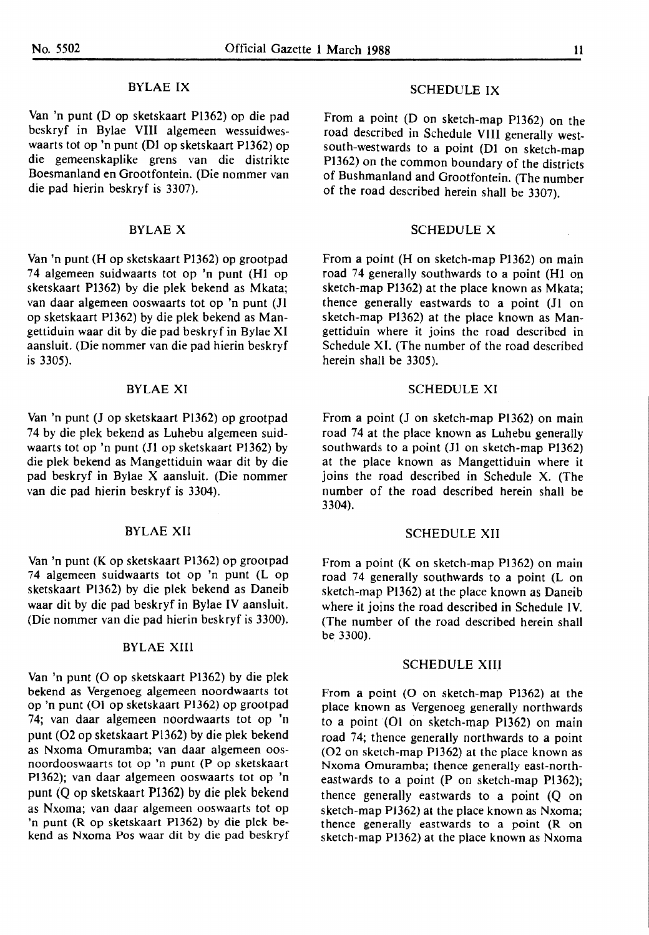#### BYLAEIX

Van 'n punt (D op sketskaart PI362) op die pad beskryf in Bylae VIII algemeen wessuidweswaarts tot op 'n punt (Dl op sketskaart Pl362) op die gemeenskaplike grens van die distrikte Boesmanland en Grootfontein. (Die nommer van die pad hierin beskryf is 3307).

#### BYLAE X

Van 'n punt (H op sketskaart P1362) op grootpad 74 algemeen suidwaarts tot op 'n punt (HI op sketskaart PI362) by die plek bekend as Mkata; van daar algemeen ooswaarts tot op 'n punt (JI op sketskaart Pl362) by die plek bekend as Mangettiduin waar dit by die pad beskryf in Bylae XI aansluit. (Die nommer van die pad hierin beskryf is 3305).

#### **BYLAE XI**

Van 'n punt (J op sketskaart PI362) op grootpad 74 by die plek bekend as Luhebu algemeen suidwaarts tot op 'n punt (JI op sketskaart PI362) by die plek bekend as Mangettiduin waar dit by die pad beskryf in Bylae X aansluit. (Die nommer van die pad hierin beskryf is 3304).

#### **BYLAE XII**

Van 'n punt (K op sketskaart Pl362) op grootpad 74 algemeen suidwaarts tot op 'n punt (L op sketskaart P1362) by die plek bekend as Daneib waar dit by die pad beskryf in Bylae IV aansluit. (Die nommer van die pad hierin beskryf is 3300).

#### **BYLAE XIII**

Van 'n punt (0 op sketskaart Pl362) by die plek bekend as Vergenoeg algemeen noordwaarts tot op 'n punt (01 op sketskaart P1362) op grootpad 74; van daar algemeen noordwaarts tot op 'n punt (02 op sketskaart Pl362) by die plek bekend as Nxoma Omuramba; van daar algemeen oosnoordooswaarts tot op 'n punt (P op sketskaart Pl 362); van daar algemeen ooswaarts tot op 'n punt (Q op sketskaart P1362) by die plek bekend as Nxoma; van daar algemeen ooswaarts tot op 'n punt (R op sketskaart P1362) by die plek bekend as **Nxoma** Pos waar dit by die pad beskryf

#### SCHEDULE IX

From a point (D on sketch-map PI362) on the road described in Schedule VIII generally westsouth-westwards to a point (DI on sketch-map PI362) on the common boundary of the districts of Bushmanland and Grootfontein. (The number of the road described herein shall be 3307).

#### SCHEDULE X

From a point (H on sketch-map P1362) on main road 74 generally southwards to a point (HI on sketch-map P1362) at the place known as Mkata; thence generally eastwards to a point (JI on sketch-map Pl362) at the place known as Mangettiduin where it joins the road described in Schedule XI. (The number of the road described herein shall be 3305).

#### SCHEDULE XI

From a point (J on sketch-map Pl362) on main road 74 at the place known as Luhebu generally southwards to a point (JI on sketch-map Pl362) at the place known as Mangettiduin where it joins the road described in Schedule X. (The number of the road described herein shall be 3304).

#### SCHEDULE XII

From a point  $(K$  on sketch-map P1362) on main road 74 generally southwards to a point (L on sketch-map PI362) at the place known as Daneib where it joins the road described in Schedule IV. (The number of the road described herein shall be\_ 3300).

#### SCHEDULE XIII

From a point (O on sketch-map P1362) at the place known as Vergenoeg generally northwards to a point  $(Ol$  on sketch-map  $P1362$  on main road 74; thence generally northwards to a point (02 on sketch-map Pl362) at the place known as Nxoma Omuramba; thence generally east-northeastwards to a point (P on sketch-map  $P1362$ ); thence generally eastwards to a point (Q on sketch-map PJ362) at the place known as Nxoma; thence generally eastwards to a point (R on sketch-map Pl362) at the place known as Nxoma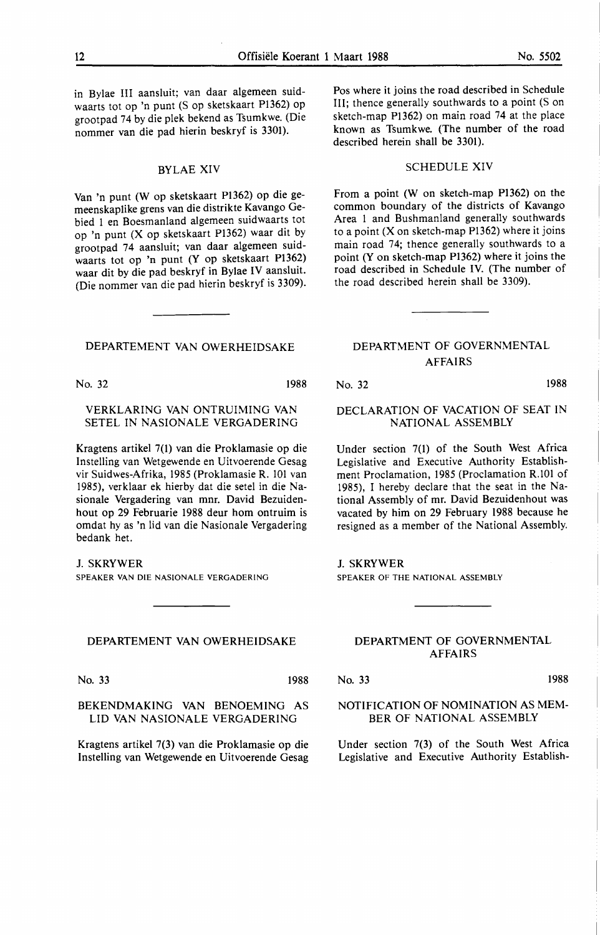in Bylae III aansluit; van daar algemeen suidwaarts tot op 'n punt (S op sketskaart P1362) op grootpad 74 by die plek bekend as Tsumkwe. (Die nommer van die pad hierin beskryf is 3301).

#### BYLAE XIV

Van 'n punt (W op sketskaart Pl 362) op die gemeenskaplike grens van die distrikte Kavango Gebied I en Boesmanland algemeen suidwaarts tot op 'n punt (X op sketskaart PI362) waar dit by grootpad 74 aansluit; van daar algemeen suidwaarts tot op 'n punt (Y op sketskaart P1362) waar dit by die pad beskryf in Bylae IV aansluit. (Die nommer van die pad hierin beskryf is 3309).

#### DEPARTEMENT VAN OWERHEIDSAKE

No. 32 1988

#### VERKLARING VAN ONTRUIMING VAN SETEL IN NASIONALE VERGADERING

Kragtens artikel 7(1) van die Proklamasie op die Instelling van Wetgewende en Uitvoerende Gesag vir Suidwes-Afrika, 1985 (Proklamasie R. 101 van 1985), verklaar ek hierby dat die setel in die Nasionale Vergadering van mnr. David Bezuidenhout op 29 Februarie 1988 deur horn ontruim is omdat hy as 'n lid van die Nasionale Vergadering bedank het.

#### J. SKRYWER

SPEAKER VAN DIE NASIONALE VERGADERING

#### **DEPARTEMENT VAN OWERHEIDSAKE**

No. 33 1988

BEKENDMAKING VAN BENOEMING AS

LID VAN NASIONALE VERGADERING

Kragtens artikel 7(3) van die Proklamasie op die Instelling van Wetgewende en Uitvoerende Gesag

Pos where it joins the road described in Schedule III; thence generally southwards to a point (S on sketch-map PI362) on main road 74 at the place known as Tsumkwe. (The number of the road described herein shall be 3301).

#### SCHEDULE XIV

From a point (W on sketch-map Pl362) on the common boundary of the districts of Kavango Area I and Bushmanland generally southwards to a point  $(X \text{ on sketch-map } P1362)$  where it joins main road 74; thence generally southwards to a point (Y on sketch-map Pl362) where it joins the road described in Schedule IV. (The number of the road described herein shall be 3309).

#### **DEPARTMENT OF GOVERNMENTAL AFFAIRS**

No. 32 1988

### **DECLARATION OF VACATION OF SEAT IN NATIONAL ASSEMBLY**

Under section 7(1) of the South West Africa Legislative and Executive Authority Establishment Proclamation, 1985 (Proclamation R.101 of 1985), I hereby declare that the seat in the National Assembly of mr. David Bezuidenhout was vacated by him on 29 February 1988 because he resigned as a member of the National Assembly.

**J. SKRYWER** 

SPEAKER OF THE NATIONAL ASSEMBLY

#### DEPARTMENT OF GOVERNMENTAL AFFAIRS

No. 33 1988

#### NOTIFICATION OF NOMINATION AS MEM-BER OF NATIONAL ASSEMBLY

Under section 7(3) of the South West Africa Legislative and Executive Authority Establish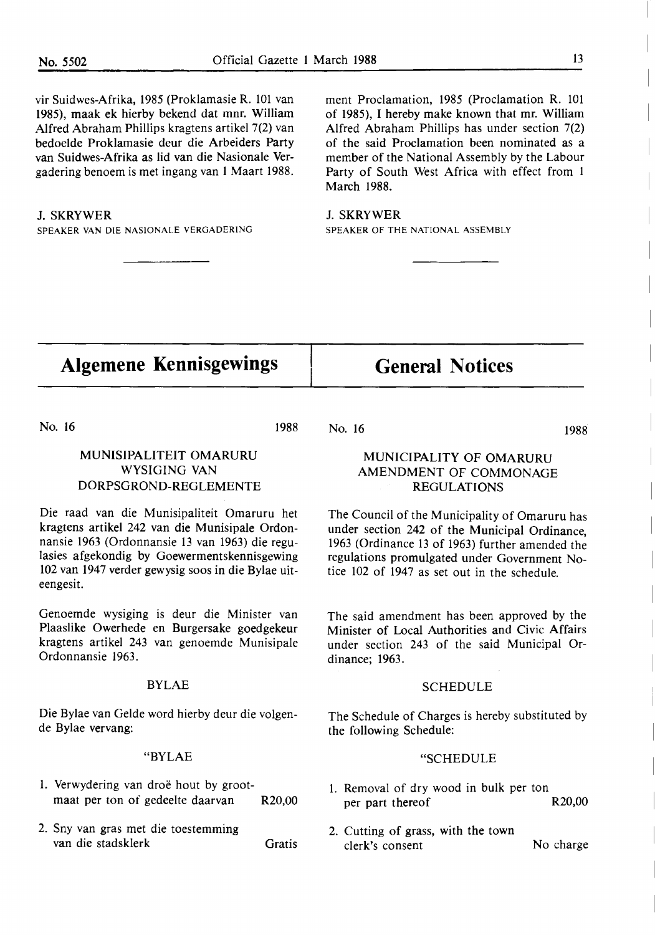vir Suidwes-Afrika, 1985 (Proklamasie R. 101 van 1985), maak ek hierby bekend dat mnr. William Alfred Abraham Phillips kragtens artikel 7(2) van bedoelde Proklamasie deur die Arbeiders Party van Suidwes-Afrika as lid van die Nasionale Vergadering benoem is met ingang van 1 Maart 1988.

#### J. SKRYWER

SPEAKER VAN DIE NASIONALE VERGADERING

ment Proclamation, 1985 (Proclamation R. 101 of 1985), I hereby make known that mr. William Alfred Abraham Phillips has under section 7(2) of the said Proclamation been nominated as a member of the National Assembly by the Labour Party of South West Africa with effect from 1 March 1988.

J. SKRYWER SPEAKER OF THE NATIONAL ASSEMBLY

## **Algemene Kennisgewings**

No. 16

### MUNISIPALITEIT OMARURU WYSIGING VAN DORPSGROND-REGLEMENTE

Die raad van die Munisipaliteit Omaruru bet kragtens artikel 242 van die Munisipale Ordonnansie 1963 (Ordonnansie 13 van 1963) die regulasies afgekondig by Goewermentskennisgewing 102 van 1947 verder gewysig soos in die Bylae uiteengesit.

Genoemde wysiging is deur die Minister van Plaaslike Owerhede en Burgersake goedgekeur kragtens artikel 243 van genoemde Munisipale Ordonnansie 1963.

#### BYLAE

Die Bylae van Gelde word hierby deur die volgende Bylae vervang:

#### **"BYLAE**

- 1. Verwydering van droë hout by grootmaat per ton of gedeelte daarvan R20,00
- 2. Sny van gras met die toestemming van die stadsklerk Gratis

1988 No. 16

1988

#### MUNICIPALITY OF OMARURU **AMENDMENT** OF **COMMONAGE**  REGULATIONS

**General Notices** 

The Council of the Municipality of Omaruru has under section 242 of the Municipal Ordinance, 1963 (Ordinance 13 of 1963) further amended the regulations promulgated under Government Notice 102 of 1947 as set out in the schedule.

The said amendment has been approved by the Minister of Local Authorities and Civic Affairs under section 243 of the said Municipal Ordinance; 1963.

#### SCHEDULE

The Schedule of Charges is hereby substituted by the following Schedule:

#### "SCHEDULE

- 1. Removal of dry wood in bulk per ton per part thereof R20,00
- 2. Cutting of grass, with the town clerk's consent No charge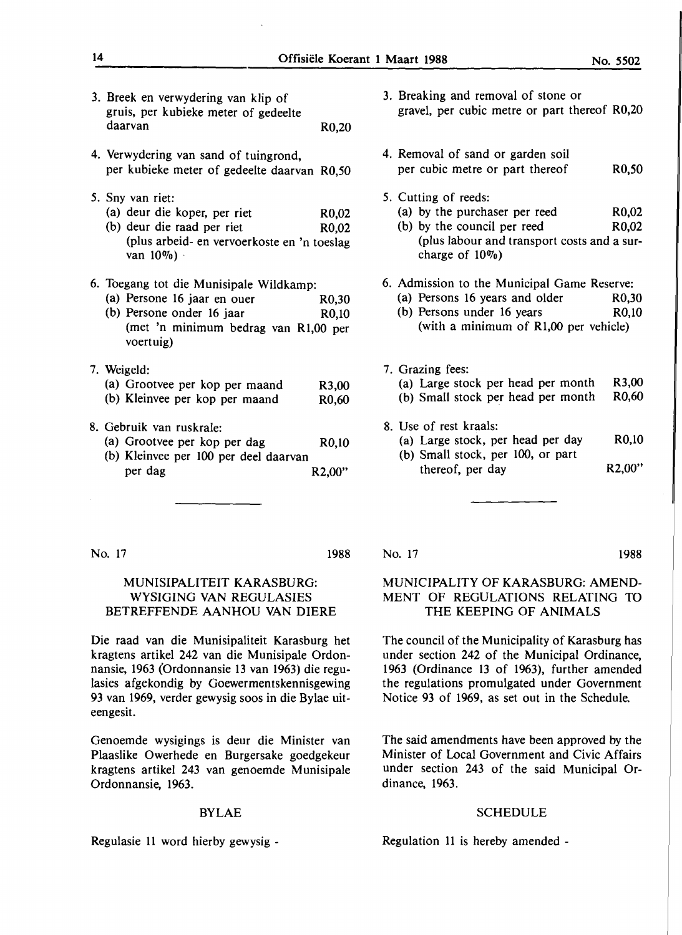- 3. Breek en verwydering van klip of gruis, per kubieke meter of gedeelte daarvan R0,20
- 4. Verwydering van sand of tuingrond, per kubieke meter of gedeelte daarvan R0,50
- *5.* Sny van riet:
	- (a) deur die koper, per riet R0,02
	- (b) deur die raad per riet R0,02 (plus arbeid- en vervoerkoste en 'n toeslag van  $10\%$ )
- 6. Toegang tot die Munisipale Wildkamp:
	- (a) Persone 16 jaar en ouer R0,30 (b) Persone onder 16 jaar R0,10 (met 'n minimum bedrag van Rl,00 per voertuig)
- 7. Weigeld:

| (a) Grootvee per kop per maand | R3,00              |
|--------------------------------|--------------------|
| (b) Kleinvee per kop per maand | R <sub>0</sub> ,60 |

- 8. Gebruik van ruskrale:
	- (a) Grootvee per kop per dag R0,10
	- (b) Kleinvee per 100 per deel daarvan per dag R2,00"
- 3. Breaking and removal of stone or gravel, per cubic metre or part thereof R0,20
- 4. Removal of sand or garden soil per cubic metre or part thereof R0,50
- *5.* Cutting of reeds:
	- (a) by the purchaser per reed R0,02
	- (b) by the council per reed R0.02 (plus labour and transport costs and a surcharge of 10%)
- 6. Admission to the Municipal Game Reserve:
	- (a) Persons 16 years and older R0,30<br>(b) Persons under 16 years R0,10
	- (b) Persons under  $16$  years (with a minimum of Rl,00 per vehicle)
- 7. Grazing fees: (a) Large stock per head per month (b) Small stock per head per month R3,00 R0,60
- 8. Use of rest kraals:
	- (a) Large stock, per head per day (b) Small stock, per 100, or part R0,10
		- thereof, per day R2,00"

No. 17 **1988** 

#### MUNISIPALITEIT KARASBURG: WYSIGING VAN REGULASIES BETREFFENDE AANHOU VAN DIERE

Die raad van die Munisipaliteit Karasburg het kragtens artikel 242 van die Munisipale Ordonnansie, 1963 (Ordonnansie 13 van 1963) die regulasies afgekondig by Goewermentskennisgewing 93 van 1969, verder gewysig soos in die Bylae uiteengesit.

Genoemde wysigings is deur die Minister van Plaaslike Owerhede en Burgersake goedgekeur kragtens artikel 243 van genoemde Munisipale Ordonnansie, 1963.

#### BYLAE

Regulasie 11 word hierby gewysig -

#### No. 17

#### MUNICIPALITY OF KARASBURG: AMEND-MENT OF REGULATIONS RELATING TO THE KEEPING OF ANIMALS

The council of the Municipality of Karasburg has under section 242 of the Municipal Ordinance, 1963 (Ordinance 13 of 1963), further amended the regulations promulgated under Government Notice 93 of 1969, as set out in the Schedule.

The said amendments have been approved by the Minister of Local Government and Civic Affairs under section 243 of the said Municipal Ordinance, 1963.

#### SCHEDULE

Regulation 11 is hereby amended -

1988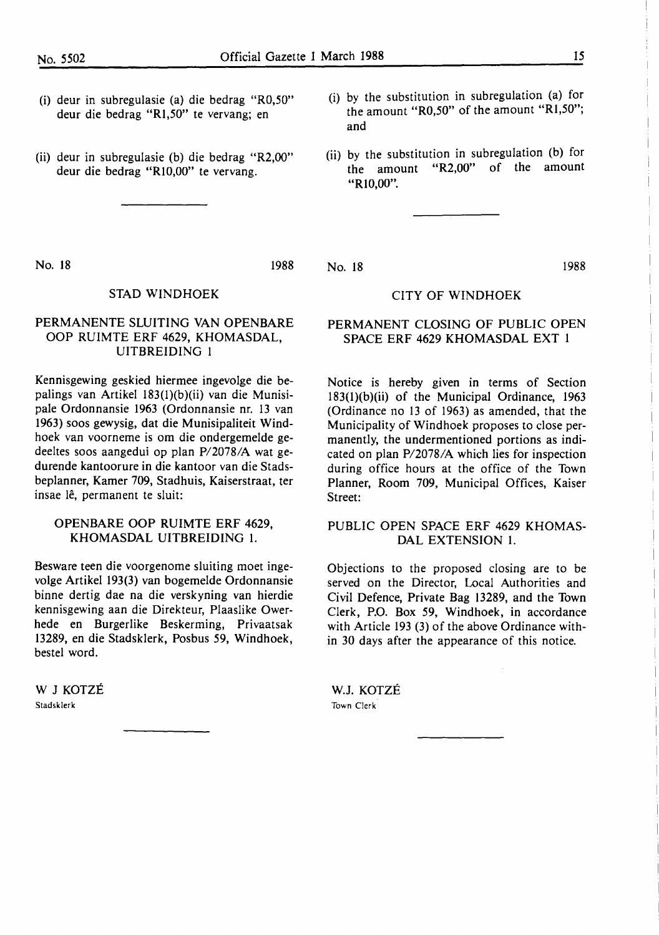- (i) deur in subregulasie (a) die bedrag "R0,50" deur die bedrag "R1,50" te vervang; en
- (ii) deur in subregulasie (b) die bedrag "R2,00" deur die bedrag "Rl0,00" te vervang.
- (i) by the substitution in subregulation (a) for the amount "R0,50" of the amount "Rl,50"; and
- (ii) by the substitution in subregulation (b) for the amount "R2,00" of the amount "RI0,00".

No. 18 1988

No. 18 1988

#### STAD WINDHOEK

#### PERMANENTE SLUITING VAN OPENBARE OOP RUIMTE ERF 4629, KHOMASDAL, UITBREIDING 1

Kennisgewing geskied hiermee ingevolge die bepalings van Artikel 183(1)(b)(ii) van die Munisipale Ordonnansie 1963 (Ordonnansie nr. 13 van 1963) soos gewysig, dat die Munisipaliteit Windhoek van voorneme is om die ondergemelde gedeeltes soos aangedui op plan P/2078/A wat gedurende kantoorure in die kantoor van die Stadsbeplanner, Kamer 709, Stadhuis, Kaiserstraat, ter insae lê, permanent te sluit:

#### OPENBARE OOP RUIMTE ERF 4629, KHOMASDAL UITBREIDING 1.

Besware teen die voorgenome sluiting moet ingevolge Artikel 193(3) van bogemelde Ordonnansie binne dertig dae na die verskyning van hierdie kennisgewing aan die Direkteur, Plaaslike Owerhede en Burgerlike Beskerming, Privaatsak 13289, en die Stadsklerk, Posbus 59, Windhoek, bestel word.

W J KOTZE Stadsklerk

#### CITY OF WINDHOEK

#### PERMANENT CLOSING OF PUBLIC OPEN SPACE ERF 4629 KHOMASDAL EXT 1

Notice is hereby given in terms of Section 183(1)(b)(ii) of the Municipal Ordinance, 1963 (Ordinance no 13 of 1963) as amended, that the Municipality of Windhoek proposes to close permanently, the undermentioned portions as indicated on plan P/2078/A which lies for inspection during office hours at the office of the Town Planner, Room 709, Municipal Offices, Kaiser Street:

#### PUBLIC OPEN SPACE ERF 4629 **KHOMAS-**DAL EXTENSION 1.

Objections to the proposed closing are to be served on the Director, Local Authorities and Civil Defence, Private Bag 13289, and the Town Clerk, P.O. Box 59, Windhoek, in accordance with Article 193 (3) of the above Ordinance within 30 days after the appearance of this notice.

W.J. KOTZE Town Clerk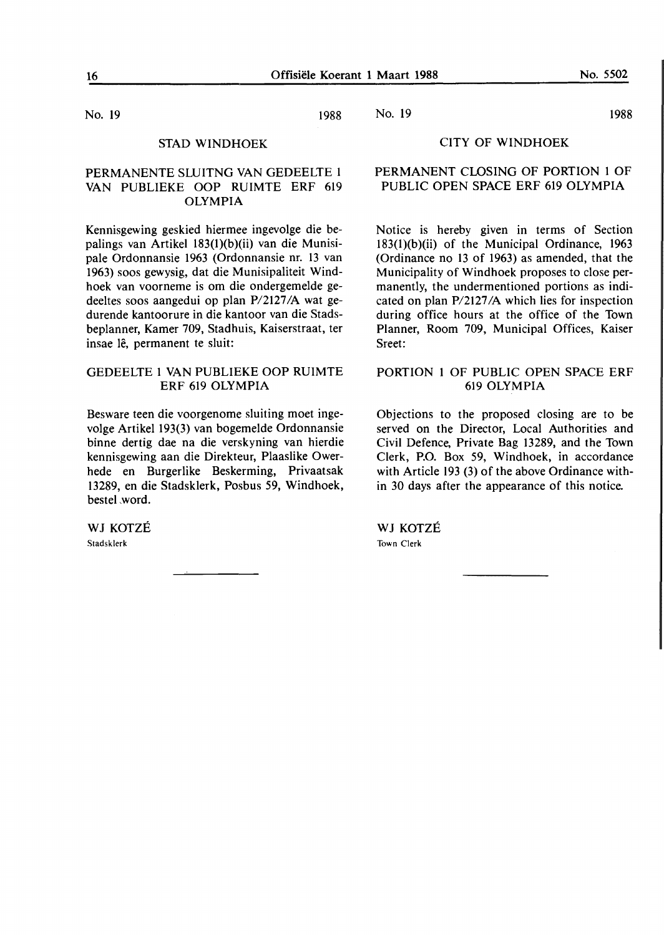No. 19 1988

#### STAD WINDHOEK

#### PERMANENTE SLUITNG VAN GEDEELTE 1 VAN PUBLIEKE OOP RUIMTE ERF 619 **OLYMPIA**

Kennisgewing geskied hiermee ingevolge die bepalings van Artikel 183(l)(b)(ii) van die Munisipale Ordonnansie 1963 (Ordonnansie nr. 13 van 1963) soos gewysig, dat die Munisipaliteit Windhoek van voorneme is om die ondergemelde gedeeltes soos aangedui op plan P/2127 /A wat gedurende kantoorure in die kantoor van die Stadsbeplanner, Kamer 709, Stadhuis, Kaiserstraat, ter insae lê, permanent te sluit:

#### GEDEELTE 1 VAN PUBLIEKE OOP RUIMTE ERF 619 **OLYMPIA**

Besware teen die voorgenome sluiting moet ingevolge Artikel 193(3) van bogemelde Ordonnansie binne dertig dae na die verskyning van hierdie kennisgewing aan die Direkteur, Plaaslike Owerhede en Burgerlike Beskerming, Privaatsak 13289, en die Stadsklerk, Posbus 59, Windhoek, bestel ,word.

**WJ** KOTZE Stadsklerk

#### No. 19 1988

#### CITY OF WINDHOEK

#### PERMANENT CLOSING OF PORTION 1 OF PUBLIC OPEN SPACE ERF 619 OLYMPIA

Notice is hereby given in terms of Section 183(l)(b)(ii) of the Municipal Ordinance, 1963 (Ordinance no 13 of 1963) as amended, that the Municipality of Windhoek proposes to close permanently, the undermentioned portions as indicated on plan P/2127 /A which lies for inspection during office hours at the office of the Town Planner, Room 709, Municipal Offices, Kaiser Sreet:

#### PORTION 1 OF PUBLIC OPEN SPACE ERF 619 **OLYMPIA**

Objections to the proposed closing are to be served on the Director, Local Authorities and Civil Defence, Private Bag 13289, and the Town Clerk, **P.O.** Box 59, Windhoek, in accordance with Article 193 (3) of the above Ordinance within 30 days after the appearance of this notice.

WJ KOTZÉ Town Clerk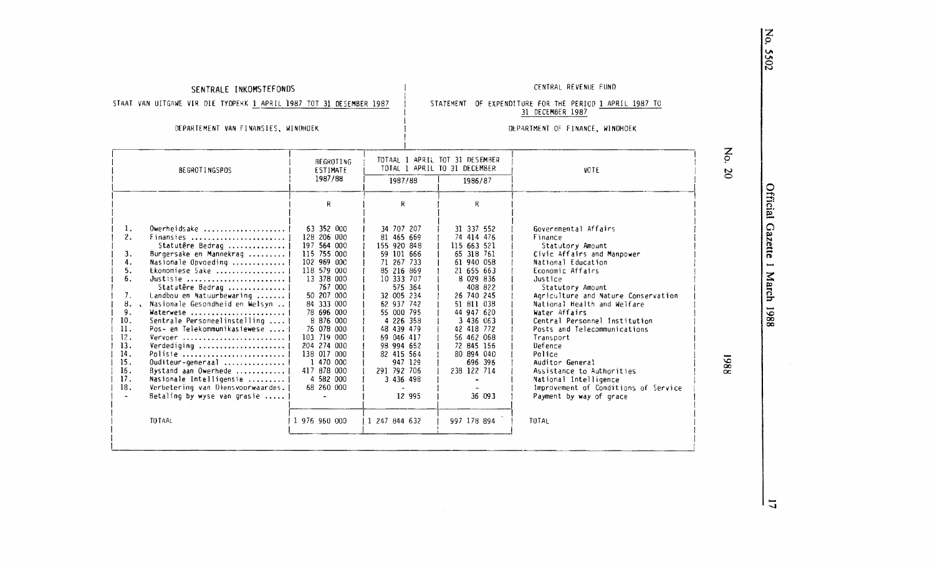#### **SENTRALE INKOMSTEFONDS** CENTRAL REVENUE FUND

STAAT VAN UITGAWE VIR DIE TYDPERK 1 APRIL 1987 TOT 31 DESEMBER 1987

STATEMENT OF EXPENDITURE FOR THE PERIOD 1 APRIL 1987 TO 31 DECEMBER 1987

DEPARTEMENT VAN F!NANSIES, WINDHOEK

#### DEPARTMENT OF FINANCE, WINDHOEK

| <b>BEGROTINGSPOS</b>                                                                                                                                                                                                                                                                                                                                                                                                                                                                                                                                                                                                                                   | BEGROTING<br>ESTIMATE                                                                                                                                                                                                                                                                                    |                                                                                                                                                                                                                                                                                             | TOTAAL 1 APRIL TOT 31 DESEMBER<br>TOTAL 1 APRIL TO 31 DECEMBER                                                                                                                                                                                                              | <b>VOTE</b>                                                                                                                                                                                                                                                                                                                                                                                                                                                                                                      | $\mathbf{S}$<br>$\infty$ |
|--------------------------------------------------------------------------------------------------------------------------------------------------------------------------------------------------------------------------------------------------------------------------------------------------------------------------------------------------------------------------------------------------------------------------------------------------------------------------------------------------------------------------------------------------------------------------------------------------------------------------------------------------------|----------------------------------------------------------------------------------------------------------------------------------------------------------------------------------------------------------------------------------------------------------------------------------------------------------|---------------------------------------------------------------------------------------------------------------------------------------------------------------------------------------------------------------------------------------------------------------------------------------------|-----------------------------------------------------------------------------------------------------------------------------------------------------------------------------------------------------------------------------------------------------------------------------|------------------------------------------------------------------------------------------------------------------------------------------------------------------------------------------------------------------------------------------------------------------------------------------------------------------------------------------------------------------------------------------------------------------------------------------------------------------------------------------------------------------|--------------------------|
|                                                                                                                                                                                                                                                                                                                                                                                                                                                                                                                                                                                                                                                        | 1987/88                                                                                                                                                                                                                                                                                                  | 1987/88                                                                                                                                                                                                                                                                                     | 1986/87                                                                                                                                                                                                                                                                     |                                                                                                                                                                                                                                                                                                                                                                                                                                                                                                                  |                          |
|                                                                                                                                                                                                                                                                                                                                                                                                                                                                                                                                                                                                                                                        | R                                                                                                                                                                                                                                                                                                        | R.                                                                                                                                                                                                                                                                                          | R                                                                                                                                                                                                                                                                           |                                                                                                                                                                                                                                                                                                                                                                                                                                                                                                                  |                          |
| 1.<br>Owerheidsake $\ldots \ldots \ldots \ldots \ldots$<br>2.<br>Finansies<br>Statutêre Bedrag<br>Burgersake en Mannekrag<br>3.<br>4.<br>Nasionale Opvoeding<br>5.<br>Ekonomiese Sake<br>6.<br>Justisie<br>Statutêre Bedrag<br>Landbou en Natuurbewaring<br>7.<br>8.<br>Nasionale Gesondheid en Welsyn<br>9.<br>Waterwese<br>Sentrale Personeelinstelling<br>10.<br>11.<br>Pos- en Telekommunikasiewese<br>12.<br>Vervoer<br>13.<br>Verdediging<br>14.<br>Polisie<br>15.<br>Ouditeur-generaal<br>16.<br>Bystand aan Owerhede ,<br>17.<br>Nasionale Intelligensie<br>18.<br>Verbetering van Diensvoorwaardes.<br>Betaling by wyse van grasie<br>TO TAAL | 63 352 000<br>128 206 000<br>197 564 000<br>115 755 000<br>102 969 000<br>118 579 000<br>13 378 000<br>767 000<br>50 207 000<br>84 333 000<br>78 696 000<br>8 876 000<br>76 078 000<br>103 719 000<br>204 274 000<br>138 017 000<br>1 470 000<br>417 878 000<br>4 582 000<br>68 260 000<br>1 976 960 000 | 34 707 207<br>81 465 669<br>155 920 848<br>59 101 666<br>71 267 733<br>85 216 869<br>10 333 707<br>575 364<br>32 005 234<br>62 937 742<br>55 000 795<br>4 226 358<br>48 439 479<br>69 046 417<br>98 994 652<br>82 415 564<br>947 129<br>291 792 706<br>3 436 498<br>12 995<br>1 247 844 632 | 31 337 552<br>74 414 476<br>115 663 521<br>65 318 761<br>61 940 058<br>21 655 663<br>8 029 836<br>408 822<br>26 740 245<br>51 811 038<br>44 947 620<br>3 436 063<br>42 418 772<br>56 462 068<br>72 845 156<br>80 894 040<br>696 396<br>238 122 714<br>36 093<br>997 178 894 | Governmental Affairs<br>Finance<br>Statutory Amount<br>Civic Affairs and Manpower<br>National Education<br>Economic Affairs<br>Justice<br>Statutory Amount<br>Agriculture and Nature Conservation<br>National Health and Welfare<br>Water Affairs<br>Central Personnel Institution<br>Posts and Telecommunications<br>Transport<br>Defence<br>Police<br>Auditor General<br>Assistance to Authorities<br>National Intelligence<br>Improvement of Conditions of Service<br>Payment by way of grace<br><b>TOTAL</b> | 1988                     |

No. 5502

Official G:

 $z$ ette .... ≛.

ch 1988

 $\overline{1}$